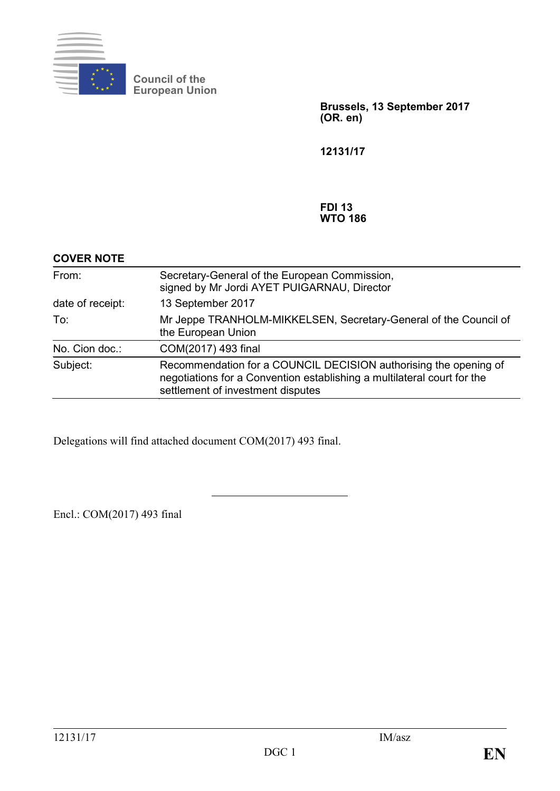

**Council of the European Union**

> **Brussels, 13 September 2017 (OR. en)**

**12131/17**

#### **FDI 13 WTO 186**

| <b>COVER NOTE</b> |                                                                                                                                                                                  |
|-------------------|----------------------------------------------------------------------------------------------------------------------------------------------------------------------------------|
| From:             | Secretary-General of the European Commission,<br>signed by Mr Jordi AYET PUIGARNAU, Director                                                                                     |
| date of receipt:  | 13 September 2017                                                                                                                                                                |
| To:               | Mr Jeppe TRANHOLM-MIKKELSEN, Secretary-General of the Council of<br>the European Union                                                                                           |
| No. Cion doc.:    | COM(2017) 493 final                                                                                                                                                              |
| Subject:          | Recommendation for a COUNCIL DECISION authorising the opening of<br>negotiations for a Convention establishing a multilateral court for the<br>settlement of investment disputes |

Delegations will find attached document COM(2017) 493 final.

Encl.: COM(2017) 493 final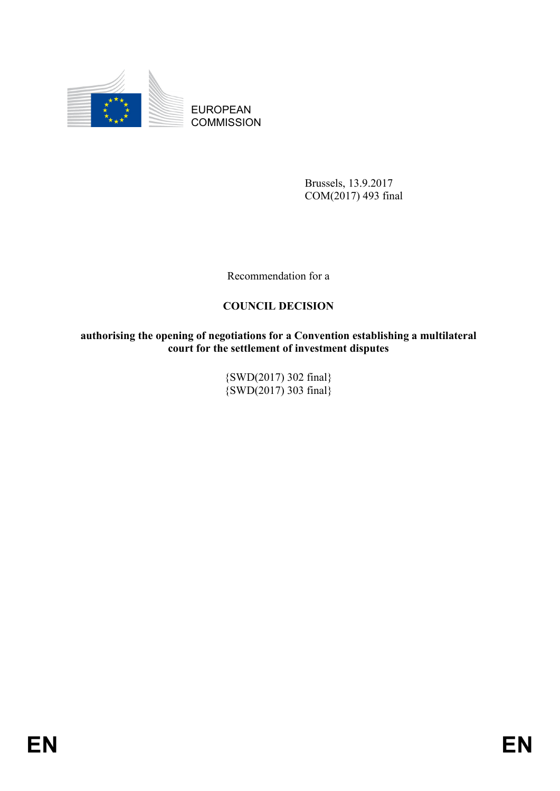

EUROPEAN **COMMISSION** 

> Brussels, 13.9.2017 COM(2017) 493 final

Recommendation for a

# **COUNCIL DECISION**

**authorising the opening of negotiations for a Convention establishing a multilateral court for the settlement of investment disputes**

> {SWD(2017) 302 final}  $\{SWD(2017), 303 \text{ final}\}$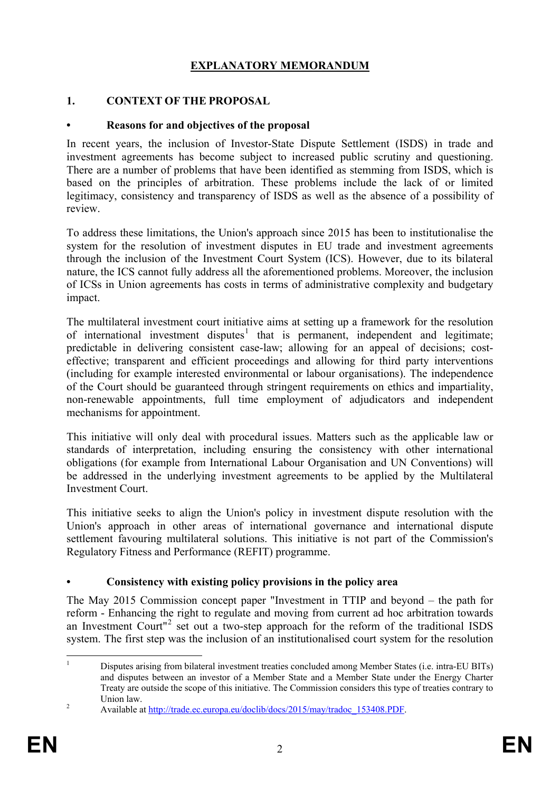# **EXPLANATORY MEMORANDUM**

#### **1. CONTEXT OF THE PROPOSAL**

#### **• Reasons for and objectives of the proposal**

In recent years, the inclusion of Investor-State Dispute Settlement (ISDS) in trade and investment agreements has become subject to increased public scrutiny and questioning. There are a number of problems that have been identified as stemming from ISDS, which is based on the principles of arbitration. These problems include the lack of or limited legitimacy, consistency and transparency of ISDS as well as the absence of a possibility of review.

To address these limitations, the Union's approach since 2015 has been to institutionalise the system for the resolution of investment disputes in EU trade and investment agreements through the inclusion of the Investment Court System (ICS). However, due to its bilateral nature, the ICS cannot fully address all the aforementioned problems. Moreover, the inclusion of ICSs in Union agreements has costs in terms of administrative complexity and budgetary impact.

The multilateral investment court initiative aims at setting up a framework for the resolution of international investment disputes<sup>[1](#page-2-0)</sup> that is permanent, independent and legitimate; predictable in delivering consistent case-law; allowing for an appeal of decisions; costeffective; transparent and efficient proceedings and allowing for third party interventions (including for example interested environmental or labour organisations). The independence of the Court should be guaranteed through stringent requirements on ethics and impartiality, non-renewable appointments, full time employment of adjudicators and independent mechanisms for appointment.

This initiative will only deal with procedural issues. Matters such as the applicable law or standards of interpretation, including ensuring the consistency with other international obligations (for example from International Labour Organisation and UN Conventions) will be addressed in the underlying investment agreements to be applied by the Multilateral Investment Court.

This initiative seeks to align the Union's policy in investment dispute resolution with the Union's approach in other areas of international governance and international dispute settlement favouring multilateral solutions. This initiative is not part of the Commission's Regulatory Fitness and Performance (REFIT) programme.

#### **• Consistency with existing policy provisions in the policy area**

The May 2015 Commission concept paper "Investment in TTIP and beyond – the path for reform - Enhancing the right to regulate and moving from current ad hoc arbitration towards an Investment Court<sup>"[2](#page-2-1)</sup> set out a two-step approach for the reform of the traditional ISDS system. The first step was the inclusion of an institutionalised court system for the resolution

<span id="page-2-0"></span> <sup>1</sup> Disputes arising from bilateral investment treaties concluded among Member States (i.e. intra-EU BITs) and disputes between an investor of a Member State and a Member State under the Energy Charter Treaty are outside the scope of this initiative. The Commission considers this type of treaties contrary to Union law.<br>
2 Available at [http://trade.ec.europa.eu/doclib/docs/2015/may/tradoc\\_153408.PDF.](http://trade.ec.europa.eu/doclib/docs/2015/may/tradoc_153408.PDF)

<span id="page-2-1"></span>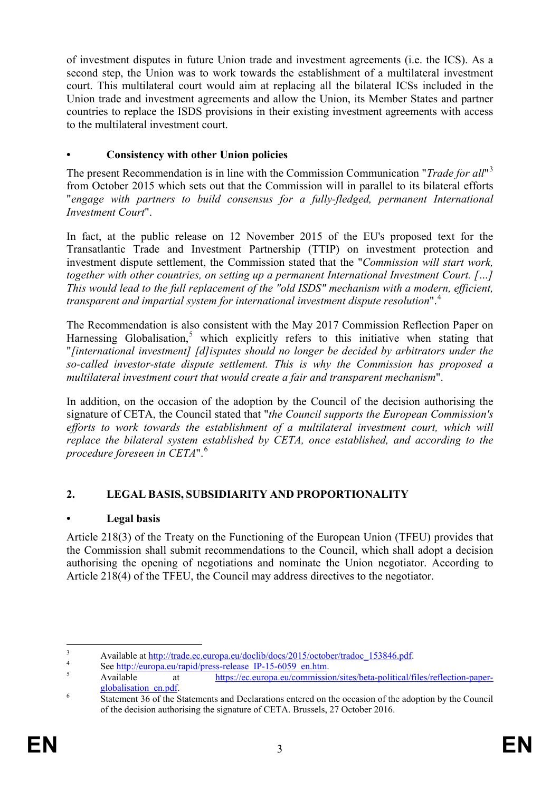of investment disputes in future Union trade and investment agreements (i.e. the ICS). As a second step, the Union was to work towards the establishment of a multilateral investment court. This multilateral court would aim at replacing all the bilateral ICSs included in the Union trade and investment agreements and allow the Union, its Member States and partner countries to replace the ISDS provisions in their existing investment agreements with access to the multilateral investment court.

# **• Consistency with other Union policies**

The present Recommendation is in line with the Commission Communication "*Trade for all*" [3](#page-3-0) from October 2015 which sets out that the Commission will in parallel to its bilateral efforts "*engage with partners to build consensus for a fully-fledged, permanent International Investment Court*".

In fact, at the public release on 12 November 2015 of the EU's proposed text for the Transatlantic Trade and Investment Partnership (TTIP) on investment protection and investment dispute settlement, the Commission stated that the "*Commission will start work, together with other countries, on setting up a permanent International Investment Court. […] This would lead to the full replacement of the "old ISDS" mechanism with a modern, efficient, transparent and impartial system for international investment dispute resolution*".[4](#page-3-1)

The Recommendation is also consistent with the May 2017 Commission Reflection Paper on Harnessing Globalisation, $5$  which explicitly refers to this initiative when stating that "*[international investment] [d]isputes should no longer be decided by arbitrators under the so-called investor-state dispute settlement. This is why the Commission has proposed a multilateral investment court that would create a fair and transparent mechanism*".

In addition, on the occasion of the adoption by the Council of the decision authorising the signature of CETA, the Council stated that "*the Council supports the European Commission's efforts to work towards the establishment of a multilateral investment court, which will replace the bilateral system established by CETA, once established, and according to the procedure foreseen in CETA*".[6](#page-3-3)

# **2. LEGAL BASIS, SUBSIDIARITY AND PROPORTIONALITY**

## **• Legal basis**

Article 218(3) of the Treaty on the Functioning of the European Union (TFEU) provides that the Commission shall submit recommendations to the Council, which shall adopt a decision authorising the opening of negotiations and nominate the Union negotiator. According to Article 218(4) of the TFEU, the Council may address directives to the negotiator.

<span id="page-3-2"></span>

<span id="page-3-1"></span><span id="page-3-0"></span>Available at <u>http://trade.ec.europa.eu/doclib/docs/2015/october/tradoc\_153846.pdf</u><br>
See <u>http://europa.eu/rapid/press-release</u> IP-15-6059\_en.htm.<br>
Available at https://ec.europa.eu/commission/sites/beta-political/files/re

<span id="page-3-3"></span> $\frac{6}{\text{Statement 36}}$  $\frac{6}{\text{Statement 36}}$  $\frac{6}{\text{Statement 36}}$  of the Statements and Declarations entered on the occasion of the adoption by the Council of the decision authorising the signature of CETA. Brussels, 27 October 2016.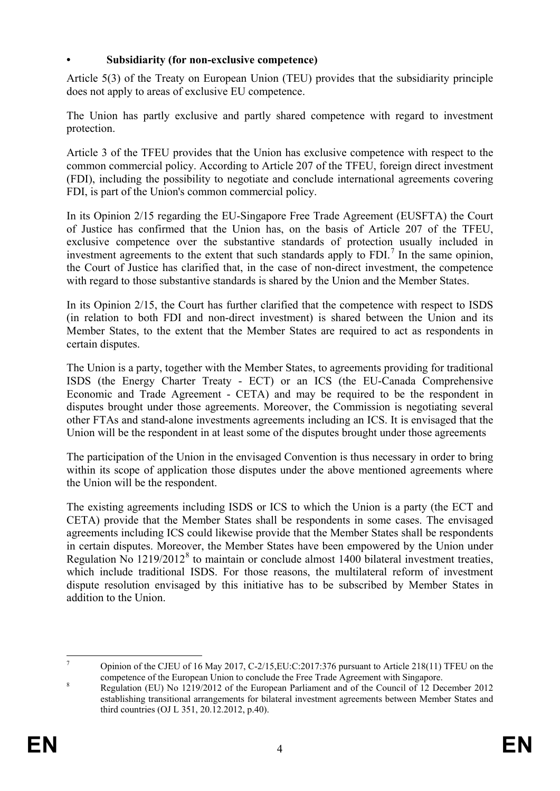## **• Subsidiarity (for non-exclusive competence)**

Article 5(3) of the Treaty on European Union (TEU) provides that the subsidiarity principle does not apply to areas of exclusive EU competence.

The Union has partly exclusive and partly shared competence with regard to investment protection.

Article 3 of the TFEU provides that the Union has exclusive competence with respect to the common commercial policy. According to Article 207 of the TFEU, foreign direct investment (FDI), including the possibility to negotiate and conclude international agreements covering FDI, is part of the Union's common commercial policy.

In its Opinion 2/15 regarding the EU-Singapore Free Trade Agreement (EUSFTA) the Court of Justice has confirmed that the Union has, on the basis of Article 207 of the TFEU, exclusive competence over the substantive standards of protection usually included in investment agreements to the extent that such standards apply to  $FDI$ <sup>[7](#page-4-0)</sup>. In the same opinion, the Court of Justice has clarified that, in the case of non-direct investment, the competence with regard to those substantive standards is shared by the Union and the Member States.

In its Opinion 2/15, the Court has further clarified that the competence with respect to ISDS (in relation to both FDI and non-direct investment) is shared between the Union and its Member States, to the extent that the Member States are required to act as respondents in certain disputes.

The Union is a party, together with the Member States, to agreements providing for traditional ISDS (the Energy Charter Treaty - ECT) or an ICS (the EU-Canada Comprehensive Economic and Trade Agreement - CETA) and may be required to be the respondent in disputes brought under those agreements. Moreover, the Commission is negotiating several other FTAs and stand-alone investments agreements including an ICS. It is envisaged that the Union will be the respondent in at least some of the disputes brought under those agreements

The participation of the Union in the envisaged Convention is thus necessary in order to bring within its scope of application those disputes under the above mentioned agreements where the Union will be the respondent.

The existing agreements including ISDS or ICS to which the Union is a party (the ECT and CETA) provide that the Member States shall be respondents in some cases. The envisaged agreements including ICS could likewise provide that the Member States shall be respondents in certain disputes. Moreover, the Member States have been empowered by the Union under Regulation No  $1219/2012<sup>8</sup>$  $1219/2012<sup>8</sup>$  $1219/2012<sup>8</sup>$  to maintain or conclude almost 1400 bilateral investment treaties, which include traditional ISDS. For those reasons, the multilateral reform of investment dispute resolution envisaged by this initiative has to be subscribed by Member States in addition to the Union.

<span id="page-4-0"></span><sup>&</sup>lt;sup>7</sup> Opinion of the CJEU of 16 May 2017, C-2/15, EU: C: 2017: 376 pursuant to Article 218(11) TFEU on the s competence of the European Union to conclude the Free Trade Agreement with Singapore.<br>Regulation (EU) No 1219/2012 of the European Parliament and of the Council of 12 December 2012

<span id="page-4-1"></span>establishing transitional arrangements for bilateral investment agreements between Member States and third countries (OJ L 351, 20.12.2012, p.40).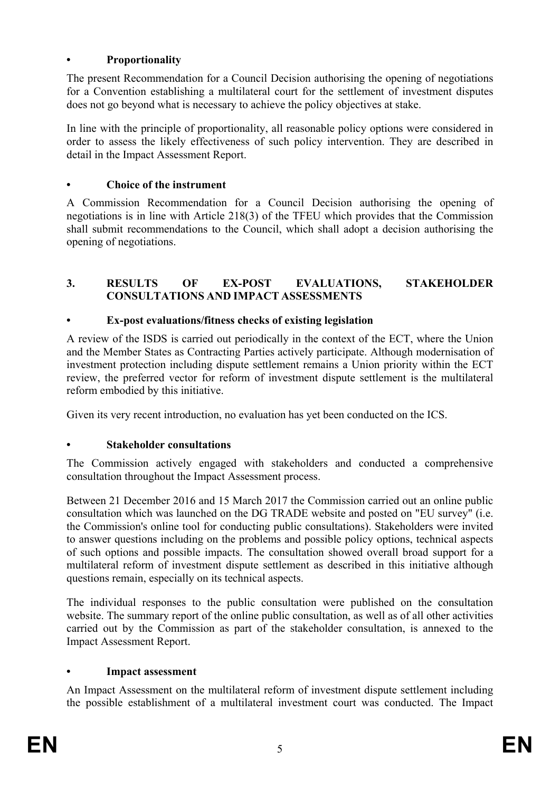## **• Proportionality**

The present Recommendation for a Council Decision authorising the opening of negotiations for a Convention establishing a multilateral court for the settlement of investment disputes does not go beyond what is necessary to achieve the policy objectives at stake.

In line with the principle of proportionality, all reasonable policy options were considered in order to assess the likely effectiveness of such policy intervention. They are described in detail in the Impact Assessment Report.

## **• Choice of the instrument**

A Commission Recommendation for a Council Decision authorising the opening of negotiations is in line with Article 218(3) of the TFEU which provides that the Commission shall submit recommendations to the Council, which shall adopt a decision authorising the opening of negotiations.

## **3. RESULTS OF EX-POST EVALUATIONS, STAKEHOLDER CONSULTATIONS AND IMPACT ASSESSMENTS**

## **• Ex-post evaluations/fitness checks of existing legislation**

A review of the ISDS is carried out periodically in the context of the ECT, where the Union and the Member States as Contracting Parties actively participate. Although modernisation of investment protection including dispute settlement remains a Union priority within the ECT review, the preferred vector for reform of investment dispute settlement is the multilateral reform embodied by this initiative.

Given its very recent introduction, no evaluation has yet been conducted on the ICS.

# **• Stakeholder consultations**

The Commission actively engaged with stakeholders and conducted a comprehensive consultation throughout the Impact Assessment process.

Between 21 December 2016 and 15 March 2017 the Commission carried out an online public consultation which was launched on the DG TRADE website and posted on "EU survey" (i.e. the Commission's online tool for conducting public consultations). Stakeholders were invited to answer questions including on the problems and possible policy options, technical aspects of such options and possible impacts. The consultation showed overall broad support for a multilateral reform of investment dispute settlement as described in this initiative although questions remain, especially on its technical aspects.

The individual responses to the public consultation were published on the consultation website. The summary report of the online public consultation, as well as of all other activities carried out by the Commission as part of the stakeholder consultation, is annexed to the Impact Assessment Report.

## **• Impact assessment**

An Impact Assessment on the multilateral reform of investment dispute settlement including the possible establishment of a multilateral investment court was conducted. The Impact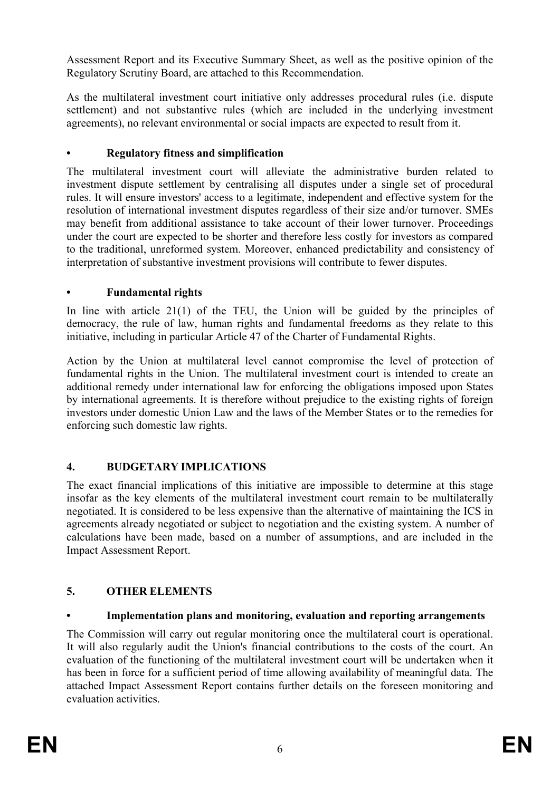Assessment Report and its Executive Summary Sheet, as well as the positive opinion of the Regulatory Scrutiny Board, are attached to this Recommendation.

As the multilateral investment court initiative only addresses procedural rules (i.e. dispute settlement) and not substantive rules (which are included in the underlying investment agreements), no relevant environmental or social impacts are expected to result from it.

## **• Regulatory fitness and simplification**

The multilateral investment court will alleviate the administrative burden related to investment dispute settlement by centralising all disputes under a single set of procedural rules. It will ensure investors' access to a legitimate, independent and effective system for the resolution of international investment disputes regardless of their size and/or turnover. SMEs may benefit from additional assistance to take account of their lower turnover. Proceedings under the court are expected to be shorter and therefore less costly for investors as compared to the traditional, unreformed system. Moreover, enhanced predictability and consistency of interpretation of substantive investment provisions will contribute to fewer disputes.

## **• Fundamental rights**

In line with article 21(1) of the TEU, the Union will be guided by the principles of democracy, the rule of law, human rights and fundamental freedoms as they relate to this initiative, including in particular Article 47 of the Charter of Fundamental Rights.

Action by the Union at multilateral level cannot compromise the level of protection of fundamental rights in the Union. The multilateral investment court is intended to create an additional remedy under international law for enforcing the obligations imposed upon States by international agreements. It is therefore without prejudice to the existing rights of foreign investors under domestic Union Law and the laws of the Member States or to the remedies for enforcing such domestic law rights.

# **4. BUDGETARY IMPLICATIONS**

The exact financial implications of this initiative are impossible to determine at this stage insofar as the key elements of the multilateral investment court remain to be multilaterally negotiated. It is considered to be less expensive than the alternative of maintaining the ICS in agreements already negotiated or subject to negotiation and the existing system. A number of calculations have been made, based on a number of assumptions, and are included in the Impact Assessment Report.

# **5. OTHER ELEMENTS**

# **• Implementation plans and monitoring, evaluation and reporting arrangements**

The Commission will carry out regular monitoring once the multilateral court is operational. It will also regularly audit the Union's financial contributions to the costs of the court. An evaluation of the functioning of the multilateral investment court will be undertaken when it has been in force for a sufficient period of time allowing availability of meaningful data. The attached Impact Assessment Report contains further details on the foreseen monitoring and evaluation activities.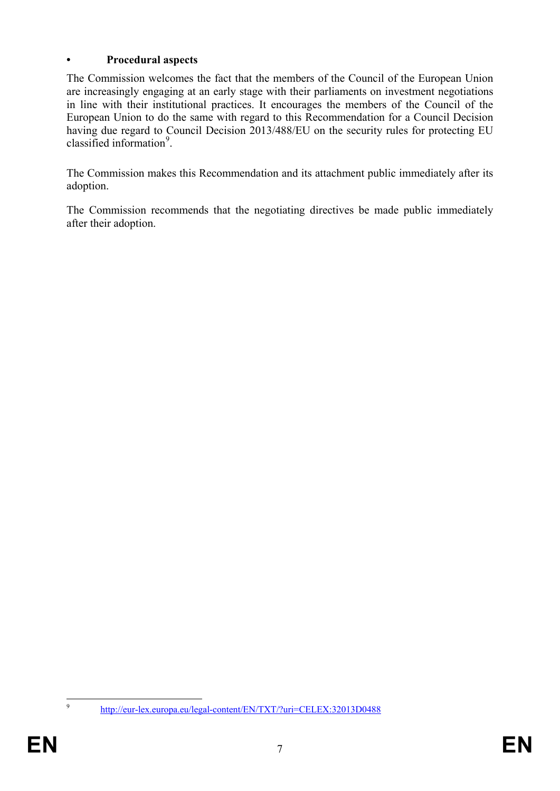## **• Procedural aspects**

The Commission welcomes the fact that the members of the Council of the European Union are increasingly engaging at an early stage with their parliaments on investment negotiations in line with their institutional practices. It encourages the members of the Council of the European Union to do the same with regard to this Recommendation for a Council Decision having due regard to Council Decision 2013/488/EU on the security rules for protecting EU classified information<sup>[9](#page-7-0)</sup>.

The Commission makes this Recommendation and its attachment public immediately after its adoption.

The Commission recommends that the negotiating directives be made public immediately after their adoption.

<span id="page-7-0"></span>

 <sup>9</sup> <http://eur-lex.europa.eu/legal-content/EN/TXT/?uri=CELEX:32013D0488>